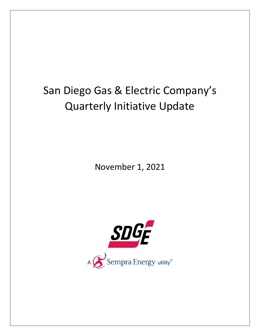## San Diego Gas & Electric Company's Quarterly Initiative Update

November 1, 2021